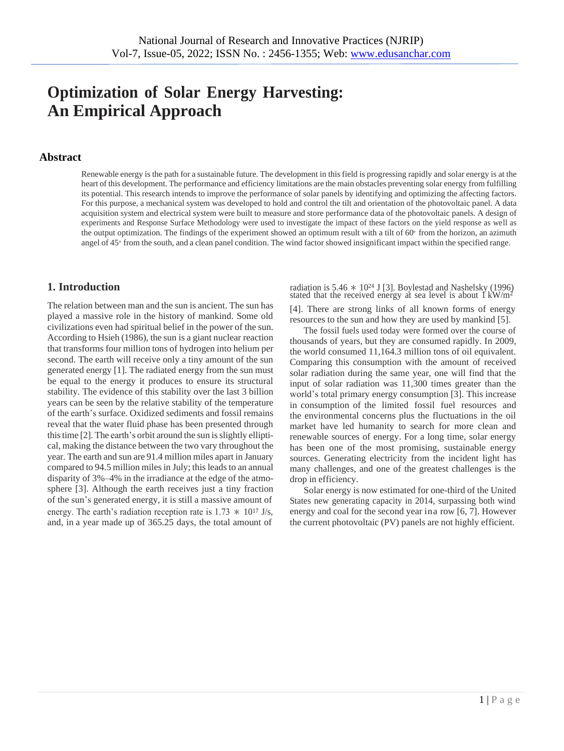# **Optimization of Solar Energy Harvesting: An Empirical Approach**

#### **Abstract**

Renewable energy is the path for a sustainable future. The development in this field is progressing rapidly and solar energy is at the heart of this development. The performance and efficiency limitations are the main obstacles preventing solar energy from fulfilling its potential. This research intends to improve the performance of solar panels by identifying and optimizing the affecting factors. For this purpose, a mechanical system was developed to hold and control the tilt and orientation of the photovoltaic panel. A data acquisition system and electrical system were built to measure and store performance data of the photovoltaic panels. A design of experiments and Response Surface Methodology were used to investigate the impact of these factors on the yield response as well as the output optimization. The findings of the experiment showed an optimum result with a tilt of 60<sup>∘</sup> from the horizon, an azimuth angel of 45<sup>∘</sup> from the south, and a clean panel condition. The wind factor showed insignificant impact within the specified range.

The relation between man and the sun is ancient. The sun has played a massive role in the history of mankind. Some old civilizations even had spiritual belief in the power of the sun. According to Hsieh (1986), the sun is a giant nuclear reaction that transforms four million tons of hydrogen into helium per second. The earth will receive only a tiny amount of the sun generated energy [\[1\].](#page-7-1) The radiated energy from the sun must be equal to the energy it produces to ensure its structural stability. The evidence of this stability over the last 3 billion years can be seen by the relative stability of the temperature of the earth's surface. Oxidized sediments and fossil remains reveal that the water fluid phase has been presented through this time  $[2]$ . The earth's orbit around the sun is slightly elliptical, making the distance between the two vary throughout the year. The earth and sun are 91.4 million miles apart in January compared to 94.5 million miles in July; this leads to an annual disparity of 3%–4% in the irradiance at the edge of the atmosphere [\[3\]](#page-7-0). Although the earth receives just a tiny fraction of the sun's generated energy, it is still a massive amount of energy. The earth's radiation reception rate is  $1.73 \times 10^{17}$  J/s, and, in a year made up of 365.25 days, the total amount of

**1. Introduction** radiation is 5.46 ∗ 10<sup>24</sup> J [\[3\].](#page-7-0) Boylestad and Nashelsky (1996) stated that the received energy at sea level is about  $1 \text{ kW/m}^2$ 

> [\[4\].](#page-7-3) There are strong links of all known forms of energy resources to the sun and how they are used by mankind [\[5\].](#page-7-4)

> The fossil fuels used today were formed over the course of thousands of years, but they are consumed rapidly. In 2009, the world consumed 11,164.3 million tons of oil equivalent. Comparing this consumption with the amount of received solar radiation during the same year, one will find that the input of solar radiation was 11,300 times greater than the world's total primary energy consumption [\[3\]](#page-7-0). This increase in consumption of the limited fossil fuel resources and the environmental concerns plus the fluctuations in the oil market have led humanity to search for more clean and renewable sources of energy. For a long time, solar energy has been one of the most promising, sustainable energy sources. Generating electricity from the incident light has many challenges, and one of the greatest challenges is the drop in efficiency.

> Solar energy is now estimated for one-third of the United States new generating capacity in 2014, surpassing both wind energy and coal for the second year ina row [\[6,](#page-7-5) [7\]](#page-7-6). However the current photovoltaic (PV) panels are not highly efficient.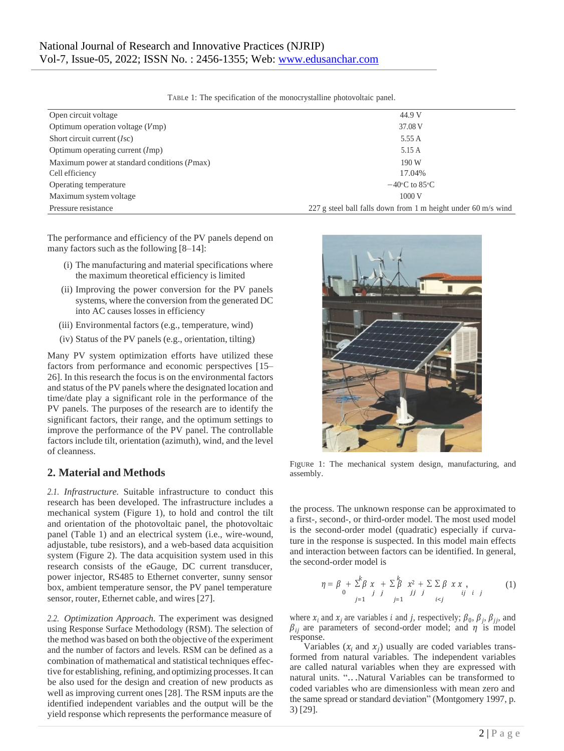| Open circuit voltage                        | 44.9 V                                                        |  |
|---------------------------------------------|---------------------------------------------------------------|--|
| Optimum operation voltage $(Vmp)$           | 37.08 V                                                       |  |
| Short circuit current $(Isc)$               | 5.55 A                                                        |  |
| Optimum operating current (Imp)             | 5.15 A                                                        |  |
| Maximum power at standard conditions (Pmax) | 190 W                                                         |  |
| Cell efficiency                             | 17.04%                                                        |  |
| Operating temperature                       | $-40$ °C to 85°C                                              |  |
| Maximum system voltage                      | 1000V                                                         |  |
| Pressure resistance                         | 227 g steel ball falls down from 1 m height under 60 m/s wind |  |

<span id="page-1-1"></span>TABLe 1: The specification of the monocrystalline photovoltaic panel.

The performance and efficiency of the PV panels depend on many factors such as the following [\[8–1](#page-7-7)[4\]](#page-8-0):

- (i) The manufacturing and material specifications where the maximum theoretical efficiency is limited
- (ii) Improving the power conversion for the PV panels systems, where the conversion from the generated DC into AC causes losses in efficiency
- (iii) Environmental factors (e.g., temperature, wind)
- (iv) Status of the PV panels (e.g., orientation, tilting)

Many PV system optimization efforts have utilized these factors from performance and economic perspectives [\[15–](#page-8-1) [26\]](#page-8-2). In this research the focus is on the environmental factors and status of the PV panels where the designated location and time/date play a significant role in the performance of the PV panels. The purposes of the research are to identify the significant factors, their range, and the optimum settings to improve the performance of the PV panel. The controllable factors include tilt, orientation (azimuth), wind, and the level of cleanness.

# **2. Material and Methods**

*2.1. Infrastructure.* Suitable infrastructure to conduct this research has been developed. The infrastructure includes a mechanical system (Figure [1\)](#page-1-0), to hold and control the tilt and orientation of the photovoltaic panel, the photovoltaic panel (Table [1\)](#page-1-1) and an electrical system (i.e., wire-wound, adjustable, tube resistors), and a web-based data acquisition system (Figure [2\). T](#page-2-0)he data acquisition system used in this research consists of the eGauge, DC current transducer, power injector, RS485 to Ethernet converter, sunny sensor box, ambient temperature sensor, the PV panel temperature sensor, router, Ethernet cable, and wires[27].

*2.2. Optimization Approach.* The experiment was designed using Response Surface Methodology (RSM). The selection of the method was based on both the objective of the experiment and the number of factors and levels. RSM can be defined as a combination of mathematical and statistical techniques effective for establishing, refining, and optimizing processes. It can be also used for the design and creation of new products as well as improving current ones [28]. The RSM inputs are the identified independent variables and the output will be the yield response which represents the performance measure of



FIgURe 1: The mechanical system design, manufacturing, and assembly.

<span id="page-1-0"></span>the process. The unknown response can be approximated to a first-, second-, or third-order model. The most used model is the second-order model (quadratic) especially if curvature in the response is suspected. In this model main effects and interaction between factors can be identified. In general, the second-order model is

$$
\eta = \beta + \sum_{j=1}^{k} \beta x + \sum_{j=1}^{k} x^{2} + \sum_{j=1}^{k} \sum_{j} \beta x x ,
$$
\n(1)

where  $x_i$  and  $x_j$  are variables *i* and *j*, respectively;  $\beta_0$ ,  $\beta_j$ ,  $\beta_{jj}$ , and  $\beta_{ii}$  are parameters of second-order model; and  $\eta$  is model response.

Variables  $(x_i$  and  $x_j)$  usually are coded variables transformed from natural variables. The independent variables are called natural variables when they are expressed with natural units. "...Natural Variables can be transformed to coded variables who are dimensionless with mean zero and the same spread or standard deviation" (Montgomery 1997, p. 3) [\[29\].](#page-8-3)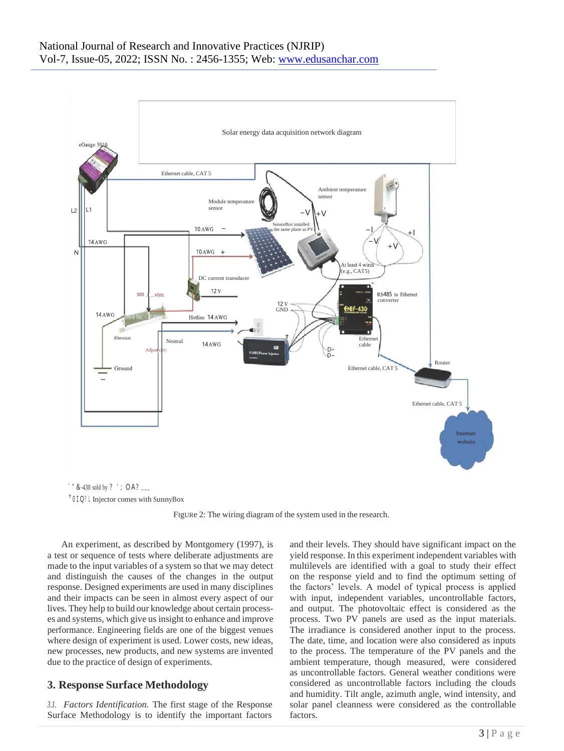

†0IQ?L Injector comes with SunnyBox

<span id="page-2-0"></span>FIgURe 2: The wiring diagram of the system used in the research.

An experiment, as described by Montgomery (1997), is a test or sequence of tests where deliberate adjustments are made to the input variables of a system so that we may detect and distinguish the causes of the changes in the output response. Designed experiments are used in many disciplines and their impacts can be seen in almost every aspect of our lives. They help to build our knowledge about certain processes and systems, which give us insight to enhance and improve performance. Engineering fields are one of the biggest venues where design of experiment is used. Lower costs, new ideas, new processes, new products, and new systems are invented due to the practice of design of experiments.

#### **3. Response Surface Methodology**

*3.1. Factors Identification.* The first stage of the Response Surface Methodology is to identify the important factors and their levels. They should have significant impact on the yield response. In this experiment independent variables with multilevels are identified with a goal to study their effect on the response yield and to find the optimum setting of the factors' levels. A model of typical process is applied with input, independent variables, uncontrollable factors, and output. The photovoltaic effect is considered as the process. Two PV panels are used as the input materials. The irradiance is considered another input to the process. The date, time, and location were also considered as inputs to the process. The temperature of the PV panels and the ambient temperature, though measured, were considered as uncontrollable factors. General weather conditions were considered as uncontrollable factors including the clouds and humidity. Tilt angle, azimuth angle, wind intensity, and solar panel cleanness were considered as the controllable factors.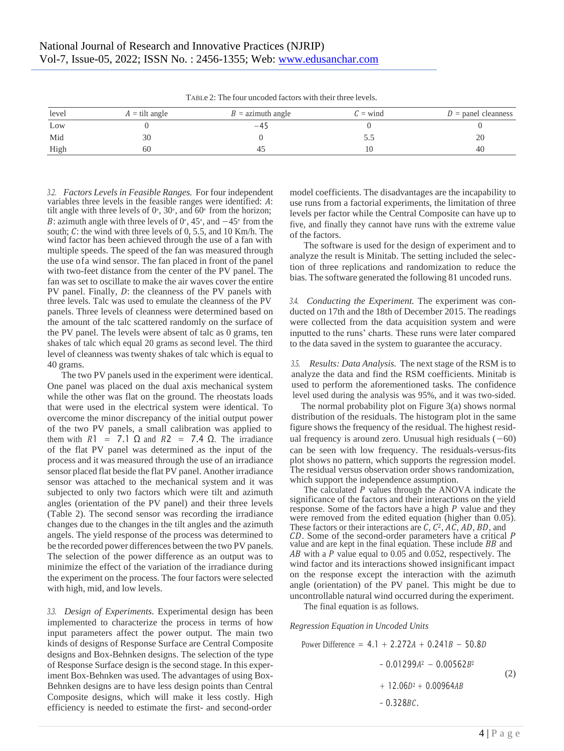| $\pm$ . An are as a state to the theory we can ever the contract the second three states in the state of $\pm$ |                         |                     |            |                       |  |  |  |
|----------------------------------------------------------------------------------------------------------------|-------------------------|---------------------|------------|-----------------------|--|--|--|
| level                                                                                                          | $A = \text{tilt angle}$ | $B =$ azimuth angle | $C =$ wind | $D =$ panel cleanness |  |  |  |
| Low                                                                                                            |                         | $-45$               |            |                       |  |  |  |
| Mid                                                                                                            |                         |                     |            | 20                    |  |  |  |
| High                                                                                                           | OC.                     | 40                  |            | 40                    |  |  |  |

<span id="page-3-0"></span>TABLe 2: The four uncoded factors with their three levels.

*3.2. Factors Levels in Feasible Ranges.* For four independent variables three levels in the feasible ranges were identified:  $A$ : tilt angle with three levels of  $0^{\circ}$ , 30°, and 60° from the horizon; *B*: azimuth angle with three levels of 0°, 45°, and  $-45$ ° from the south;  $C$ : the wind with three levels of 0, 5.5, and 10 Km/h. The wind factor has been achieved through the use of a fan with multiple speeds. The speed of the fan was measured through the use ofa wind sensor. The fan placed in front of the panel with two-feet distance from the center of the PV panel. The fan was set to oscillate to make the air waves cover the entire PV panel. Finally,  $D$ : the cleanness of the PV panels with three levels. Talc was used to emulate the cleanness of the PV panels. Three levels of cleanness were determined based on the amount of the talc scattered randomly on the surface of the PV panel. The levels were absent of talc as 0 grams, ten shakes of talc which equal 20 grams as second level. The third level of cleanness was twenty shakes of talc which is equal to 40 grams.

The two PV panels used in the experiment were identical. One panel was placed on the dual axis mechanical system while the other was flat on the ground. The rheostats loads that were used in the electrical system were identical. To overcome the minor discrepancy of the initial output power of the two PV panels, a small calibration was applied to them with  $R1 = 7.1 \Omega$  and  $R2 = 7.4 \Omega$ . The irradiance of the flat PV panel was determined as the input of the process and it was measured through the use of an irradiance sensor placed flat beside the flat PV panel. Another irradiance sensor was attached to the mechanical system and it was subjected to only two factors which were tilt and azimuth angles (orientation of the PV panel) and their three levels (Table [2\).](#page-3-0) The second sensor was recording the irradiance changes due to the changes in the tilt angles and the azimuth angels. The yield response of the process was determined to be the recorded power differences between the two PV panels. The selection of the power difference as an output was to minimize the effect of the variation of the irradiance during the experiment on the process. The four factors were selected with high, mid, and low levels.

*3.3. Design of Experiments.* Experimental design has been implemented to characterize the process in terms of how input parameters affect the power output. The main two kinds of designs of Response Surface are Central Composite designs and Box-Behnken designs. The selection of the type of Response Surface design is the second stage. In this experiment Box-Behnken was used. The advantages of using Box-Behnken designs are to have less design points than Central Composite designs, which will make it less costly. High efficiency is needed to estimate the first- and second-order

model coefficients. The disadvantages are the incapability to use runs from a factorial experiments, the limitation of three levels per factor while the Central Composite can have up to five, and finally they cannot have runs with the extreme value of the factors.

The software is used for the design of experiment and to analyze the result is Minitab. The setting included the selection of three replications and randomization to reduce the bias. The software generated the following 81 uncoded runs.

*3.4. Conducting the Experiment.* The experiment was conducted on 17th and the 18th of December 2015. The readings were collected from the data acquisition system and were inputted to the runs' charts. These runs were later compared to the data saved in the system to guarantee the accuracy.

*3.5. Results: Data Analysis.* The next stage of the RSM is to analyze the data and find the RSM coefficients. Minitab is used to perform the aforementioned tasks. The confidence level used during the analysis was 95%, and it was two-sided.

The normal probability plot on Figure [3\(a\) s](#page-4-0)hows normal distribution of the residuals. The histogram plot in the same figure shows the frequency of the residual. The highest residual frequency is around zero. Unusual high residuals  $(-60)$ can be seen with low frequency. The residuals-versus-fits plot shows no pattern, which supports the regression model. The residual versus observation order shows randomization, which support the independence assumption.

The calculated  $P$  values through the ANOVA indicate the significance of the factors and their interactions on the yield response. Some of the factors have a high  $P$  value and they were removed from the edited equation (higher than 0.05). These factors or their interactions are  $C$ ,  $C<sup>2</sup>$ ,  $AC$ ,  $AD$ ,  $BD$ , and CD. Some of the second-order parameters have a critical P value and are kept in the final equation. These include  $BB$  and  $AB$  with a  $P$  value equal to 0.05 and 0.052, respectively. The wind factor and its interactions showed insignificant impact on the response except the interaction with the azimuth angle (orientation) of the PV panel. This might be due to uncontrollable natural wind occurred during the experiment.

The final equation is as follows.

*Regression Equation in Uncoded Units*

Power Difference = 
$$
4.1 + 2.272A + 0.241B - 50.8D - 0.01299A^2 - 0.00562B^2 + 12.06D^2 + 0.00964AB - 0.328BC.
$$
 (2)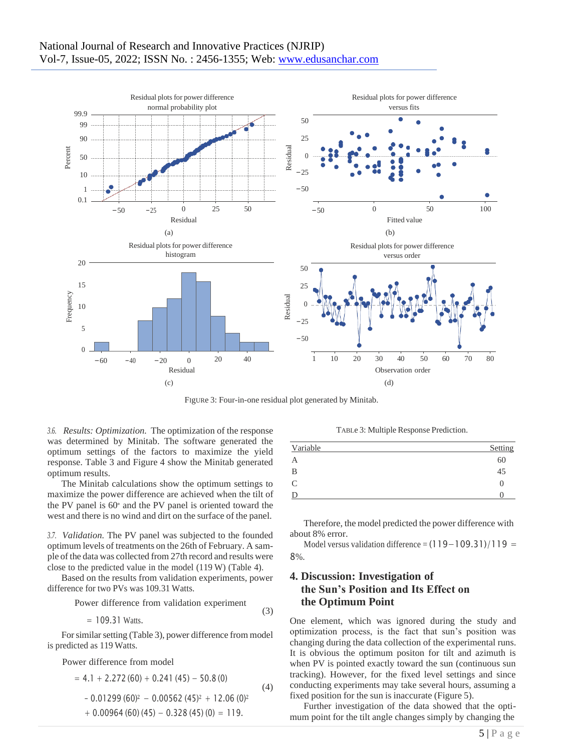<span id="page-4-0"></span>

FIgURe 3: Four-in-one residual plot generated by Minitab.

(3)

*3.6. Results: Optimization.* The optimization of the response was determined by Minitab. The software generated the optimum settings of the factors to maximize the yield response. Table [3 a](#page-4-1)nd Figure [4 s](#page-5-0)how the Minitab generated optimum results.

The Minitab calculations show the optimum settings to maximize the power difference are achieved when the tilt of the PV panel is 60<sup>∘</sup> and the PV panel is oriented toward the west and there is no wind and dirt on the surface of the panel.

*3.7. Validation.* The PV panel was subjected to the founded optimum levels of treatments on the 26th of February. A sample of the data was collected from 27th record and results were close to the predicted value in the model (119 W) (Table [4\).](#page-6-0)

Based on the results from validation experiments, power difference for two PVs was 109.31 Watts.

Power difference from validation experiment

 $= 109.31$  Watts.

For similar setting (Table [3\)](#page-4-1), power difference from model is predicted as 119 Watts.

Power difference from model

$$
= 4.1 + 2.272 (60) + 0.241 (45) - 50.8 (0)
$$
  
- 0.01299 (60)<sup>2</sup> - 0.00562 (45)<sup>2</sup> + 12.06 (0)<sup>2</sup>  
+ 0.00964 (60) (45) - 0.328 (45) (0) = 119.

<span id="page-4-1"></span>TABLe 3: Multiple Response Prediction.

| Variable       | Setting          |
|----------------|------------------|
| $\overline{A}$ | 60               |
| B              | 45               |
| $\mathcal{C}$  | $\left( \right)$ |
| D              |                  |
|                |                  |

Therefore, the model predicted the power difference with about 8% error.

Model versus validation difference =  $(119-109.31)/119$  = 8%.

## **4. Discussion: Investigation of the Sun's Position and Its Effect on the Optimum Point**

One element, which was ignored during the study and optimization process, is the fact that sun's position was changing during the data collection of the experimental runs. It is obvious the optimum positon for tilt and azimuth is when PV is pointed exactly toward the sun (continuous sun tracking). However, for the fixed level settings and since conducting experiments may take several hours, assuming a fixed position for the sun is inaccurate (Figure [5\).](#page-5-1)

Further investigation of the data showed that the optimum point for the tilt angle changes simply by changing the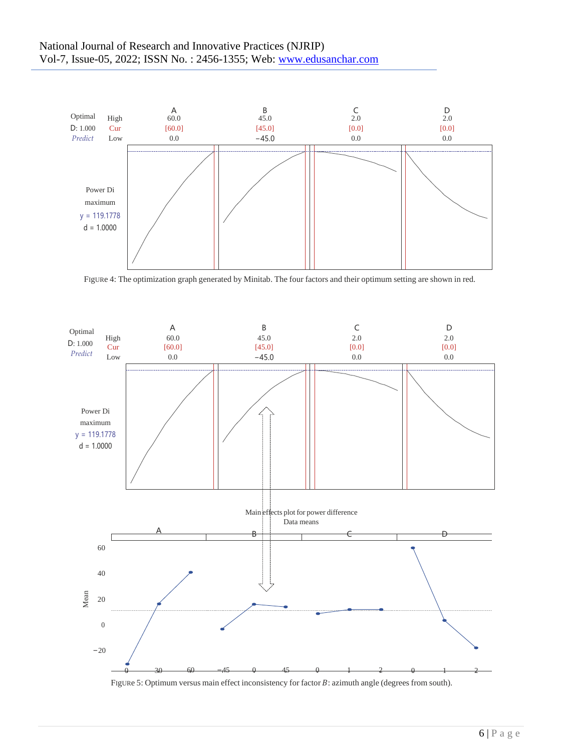<span id="page-5-1"></span>

<span id="page-5-0"></span>FIgURe 4: The optimization graph generated by Minitab. The four factors and their optimum setting are shown in red.



FigURe 5: Optimum versus main effect inconsistency for factor  $B$ : azimuth angle (degrees from south).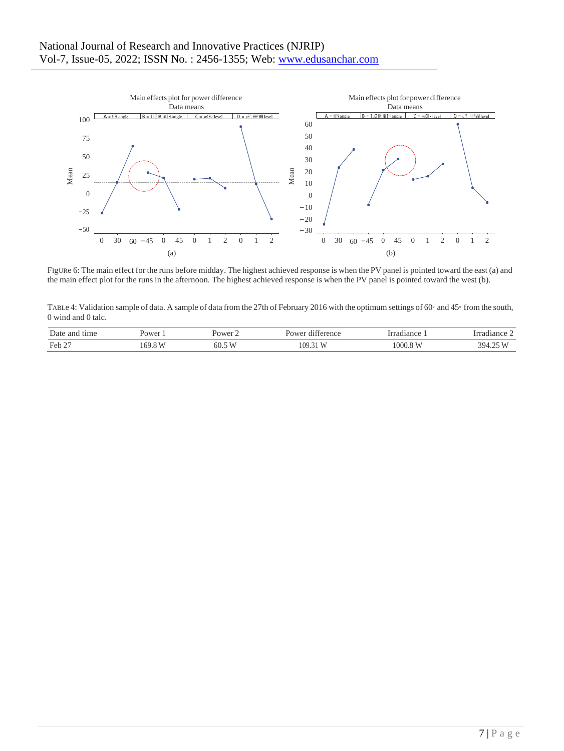<span id="page-6-1"></span>

<span id="page-6-2"></span>FIgURe 6: The main effect for the runs before midday. The highest achieved response is when the PV panel is pointed toward the east (a) and the main effect plot for the runs in the afternoon. The highest achieved response is when the PV panel is pointed toward the west (b).

<span id="page-6-0"></span>TABLe 4: Validation sample of data. A sample of data from the 27th of February 2016 with the optimum settings of 60<sup>∘</sup> and 45<sup>∘</sup> from the south, 0 wind and 0 talc.

| $\sim$<br>Date<br>and<br>tıme<br>.<br>. | Power | ≀∩wer     | . .<br>terenc.<br>1 L A .<br>$\sim$ $\sim$ $\sim$ $\sim$ $\sim$ $\sim$ $\sim$ | diam'r<br>ົ<br>$\alpha$<br>ян<br>анс | <br>72 L L C    |
|-----------------------------------------|-------|-----------|-------------------------------------------------------------------------------|--------------------------------------|-----------------|
| Feb 2<br>$\sim$                         | ьu    | T<br>60.5 | ĸ                                                                             | .UUU.O                               | <u>2Ω.</u><br>. |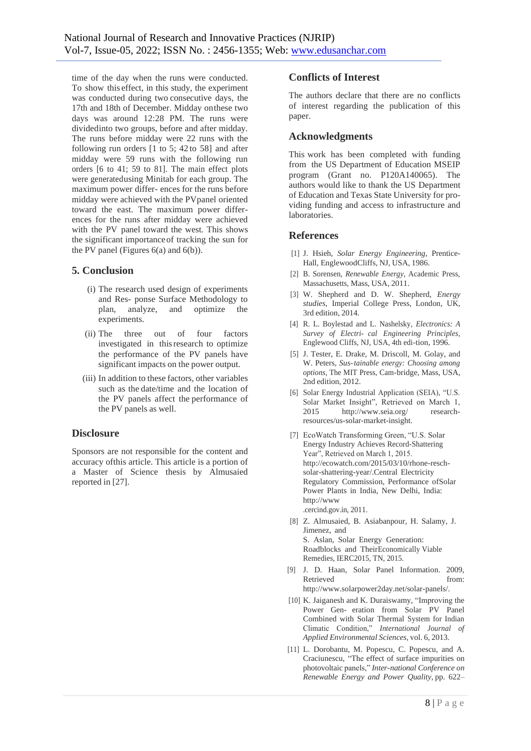time of the day when the runs were conducted. To show this effect, in this study, the experiment was conducted during two consecutive days, the 17th and 18th of December. Midday onthese two days was around 12:28 PM. The runs were dividedinto two groups, before and after midday. The runs before midday were 22 runs with the following run orders [1 to 5; 42 to 58] and after midday were 59 runs with the following run orders [6 to 41; 59 to 81]. The main effect plots were generatedusing Minitab for each group. The maximum power differ- ences for the runs before midday were achieved with the PVpanel oriented toward the east. The maximum power differences for the runs after midday were achieved with the PV panel toward the west. This shows the significant importanceof tracking the sun for the PV panel (Figures [6\(a\)](#page-6-1) and [6\(b\)\).](#page-6-2)

#### **5. Conclusion**

- (i) The research used design of experiments and Res- ponse Surface Methodology to plan, analyze, and optimize the experiments.
- (ii) The three out of four factors investigated in thisresearch to optimize the performance of the PV panels have significant impacts on the power output.
- (iii) In addition to these factors, other variables such as the date/time and the location of the PV panels affect the performance of the PV panels as well.

#### **Disclosure**

Sponsors are not responsible for the content and accuracy ofthis article. This article is a portion of a Master of Science thesis by Almusaied reported in [27].

# **Conflicts of Interest**

The authors declare that there are no conflicts of interest regarding the publication of this paper.

## **Acknowledgments**

This work has been completed with funding from the US Department of Education MSEIP program (Grant no. P120A140065). The authors would like to thank the US Department of Education and Texas State University for providing funding and access to infrastructure and laboratories.

#### <span id="page-7-2"></span><span id="page-7-1"></span>**References**

- <span id="page-7-0"></span>[1] J. Hsieh, *Solar Energy Engineering*, Prentice-Hall, EnglewoodCliffs, NJ, USA, 1986.
- [2] B. Sorensen, *Renewable Energy*, Academic Press, Massachusetts, Mass, USA, 2011.
- <span id="page-7-3"></span>[3] W. Shepherd and D. W. Shepherd, *Energy studies*, Imperial College Press, London, UK, 3rd edition, 2014.
- <span id="page-7-4"></span>[4] R. L. Boylestad and L. Nashelsky, *Electronics: A Survey of Electri- cal Engineering Principles*, Englewood Cliffs, NJ, USA, 4th edi-tion, 1996.
- <span id="page-7-5"></span>[5] J. Tester, E. Drake, M. Driscoll, M. Golay, and W. Peters, *Sus-tainable energy: Choosing among options*, The MIT Press, Cam-bridge, Mass, USA, 2nd edition, 2012.
- <span id="page-7-6"></span>[6] Solar Energy Industrial Application (SEIA), "U.S. Solar Market Insight", Retrieved on March 1, 2015 [http://www.seia.org/](http://www.seia.org/research-resources/us-solar-market-insight) [research](http://www.seia.org/research-resources/us-solar-market-insight)[resources/us-solar-market-insight.](http://www.seia.org/research-resources/us-solar-market-insight)
- <span id="page-7-7"></span>[7] EcoWatch Transforming Green, "U.S. Solar Energy Industry Achieves Record-Shattering Year", Retrieved on March 1, 2015. [http://ecowatch.com/2015/03/10/rhone-resch](http://ecowatch.com/2015/03/10/rhone-resch-solar-shattering-year/)[solar-shattering-year/.](http://ecowatch.com/2015/03/10/rhone-resch-solar-shattering-year/)Central Electricity Regulatory Commission, Performance ofSolar Power Plants in India, New Delhi, India: [http://www](http://www.cercind.gov.in/)

[.cercind.gov.in,](http://www.cercind.gov.in/) 2011.

- [8] Z. Almusaied, B. Asiabanpour, H. Salamy, J. Jimenez, and S. Aslan, Solar Energy Generation: Roadblocks and TheirEconomically Viable Remedies, IERC2015, TN, 2015.
- [9] J. D. Haan, Solar Panel Information. 2009, Retrieved from: [http://www.solarpower2day.net/solar-panels/.](http://www.solarpower2day.net/solar-panels/)
- [10] K. Jaiganesh and K. Duraiswamy, "Improving the Power Gen- eration from Solar PV Panel Combined with Solar Thermal System for Indian Climatic Condition," *International Journal of Applied Environmental Sciences*, vol. 6, 2013.
- [11] L. Dorobantu, M. Popescu, C. Popescu, and A. Craciunescu, "The effect of surface impurities on photovoltaic panels," *Inter-national Conference on Renewable Energy and Power Quality*, pp. 622–